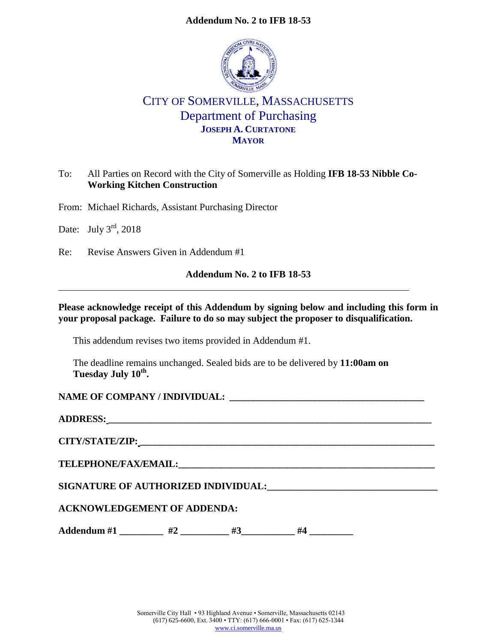# **Addendum No. 2 to IFB 18-53**



# CITY OF SOMERVILLE, MASSACHUSETTS Department of Purchasing **JOSEPH A. CURTATONE MAYOR**

# To: All Parties on Record with the City of Somerville as Holding **IFB 18-53 Nibble Co-Working Kitchen Construction**

From: Michael Richards, Assistant Purchasing Director

Date: July  $3^{\text{rd}}$ , 2018

Re: Revise Answers Given in Addendum #1

### **Addendum No. 2 to IFB 18-53**

### **Please acknowledge receipt of this Addendum by signing below and including this form in your proposal package. Failure to do so may subject the proposer to disqualification.**

This addendum revises two items provided in Addendum #1.

The deadline remains unchanged. Sealed bids are to be delivered by **11:00am on Tuesday July 10th .**

# **NAME OF COMPANY / INDIVIDUAL: \_\_\_\_\_\_\_\_\_\_\_\_\_\_\_\_\_\_\_\_\_\_\_\_\_\_\_\_\_\_\_\_\_\_\_\_\_\_\_\_\_**

**ADDRESS: \_\_\_\_\_\_\_\_\_\_\_\_\_\_\_\_\_\_\_\_\_\_\_\_\_\_\_\_\_\_\_\_\_\_\_\_\_\_\_\_\_\_\_\_\_\_\_\_\_\_\_\_\_\_\_\_\_\_\_\_\_\_\_\_\_\_\_\_**

**CITY/STATE/ZIP: \_\_\_\_\_\_\_\_\_\_\_\_\_\_\_\_\_\_\_\_\_\_\_\_\_\_\_\_\_\_\_\_\_\_\_\_\_\_\_\_\_\_\_\_\_\_\_\_\_\_\_\_\_\_\_\_\_\_\_\_\_\_**

**TELEPHONE/FAX/EMAIL:\_\_\_\_\_\_\_\_\_\_\_\_\_\_\_\_\_\_\_\_\_\_\_\_\_\_\_\_\_\_\_\_\_\_\_\_\_\_\_\_\_\_\_\_\_\_\_\_\_\_\_\_\_\_**

**SIGNATURE OF AUTHORIZED INDIVIDUAL:\_\_\_\_\_\_\_\_\_\_\_\_\_\_\_\_\_\_\_\_\_\_\_\_\_\_\_\_\_\_\_\_\_\_\_**

# **ACKNOWLEDGEMENT OF ADDENDA:**

Addendum #1 \_\_\_\_\_\_\_\_\_ #2 \_\_\_\_\_\_\_\_ #3 \_\_\_\_\_\_ #4